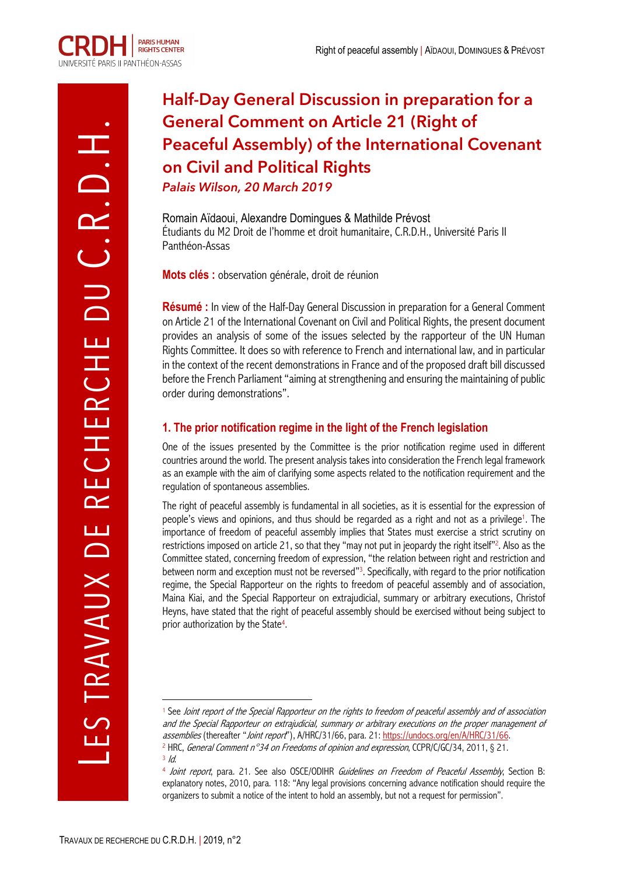# **Half-Day General Discussion in preparation for a General Comment on Article 21 (Right of Peaceful Assembly) of the International Covenant on Civil and Political Rights** *Palais Wilson, 20 March 2019*

Romain Aïdaoui, Alexandre Domingues & Mathilde Prévost Étudiants du M2 Droit de l'homme et droit humanitaire, C.R.D.H., Université Paris II Panthéon-Assas

**Mots clés :** observation générale, droit de réunion

**Résumé :** In view of the Half-Day General Discussion in preparation for a General Comment on Article 21 of the International Covenant on Civil and Political Rights, the present document provides an analysis of some of the issues selected by the rapporteur of the UN Human Rights Committee. It does so with reference to French and international law, and in particular in the context of the recent demonstrations in France and of the proposed draft bill discussed before the French Parliament "aiming at strengthening and ensuring the maintaining of public order during demonstrations".

## **1. The prior notification regime in the light of the French legislation**

One of the issues presented by the Committee is the prior notification regime used in different countries around the world. The present analysis takes into consideration the French legal framework as an example with the aim of clarifying some aspects related to the notification requirement and the regulation of spontaneous assemblies.

The right of peaceful assembly is fundamental in all societies, as it is essential for the expression of people's views and opinions, and thus should be regarded as a right and not as a privilege<sup>1</sup>. The importance of freedom of peaceful assembly implies that States must exercise a strict scrutiny on restrictions imposed on article 21, so that they "may not put in jeopardy the right itself"2. Also as the Committee stated, concerning freedom of expression, "the relation between right and restriction and between norm and exception must not be reversed"3. Specifically, with regard to the prior notification regime, the Special Rapporteur on the rights to freedom of peaceful assembly and of association, Maina Kiai, and the Special Rapporteur on extrajudicial, summary or arbitrary executions, Christof Heyns, have stated that the right of peaceful assembly should be exercised without being subject to prior authorization by the State4.

 $\overline{a}$ <sup>1</sup> See Joint report of the Special Rapporteur on the rights to freedom of peaceful assembly and of association and the Special Rapporteur on extrajudicial, summary or arbitrary executions on the proper management of assemblies (thereafter "Joint report"), A/HRC/31/66, para. 21: https://undocs.org/en/A/HRC/31/66. <sup>2</sup> HRC, General Comment n°34 on Freedoms of opinion and expression, CCPR/C/GC/34, 2011, § 21.

 $3/d$ .

<sup>4</sup> Joint report, para. 21. See also OSCE/ODIHR Guidelines on Freedom of Peaceful Assembly, Section B: explanatory notes, 2010, para. 118: "Any legal provisions concerning advance notification should require the organizers to submit a notice of the intent to hold an assembly, but not a request for permission".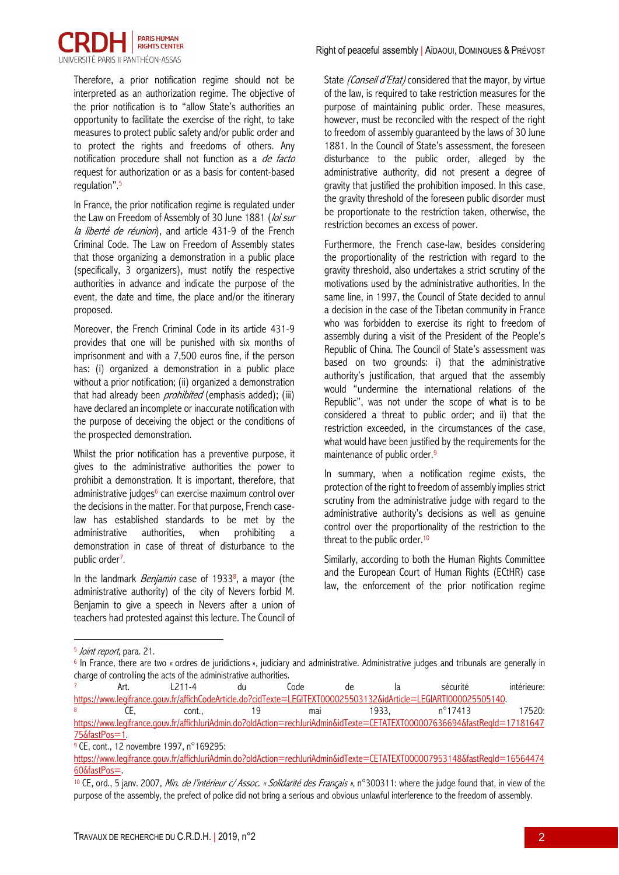

Therefore, a prior notification regime should not be interpreted as an authorization regime. The objective of the prior notification is to "allow State's authorities an opportunity to facilitate the exercise of the right, to take measures to protect public safety and/or public order and to protect the rights and freedoms of others. Any notification procedure shall not function as a *de facto* request for authorization or as a basis for content-based regulation". 5

In France, the prior notification regime is regulated under the Law on Freedom of Assembly of 30 June 1881 (loi sur la liberté de réunion), and article 431-9 of the French Criminal Code. The Law on Freedom of Assembly states that those organizing a demonstration in a public place (specifically, 3 organizers), must notify the respective authorities in advance and indicate the purpose of the event, the date and time, the place and/or the itinerary proposed.

Moreover, the French Criminal Code in its article 431-9 provides that one will be punished with six months of imprisonment and with a 7,500 euros fine, if the person has: (i) organized a demonstration in a public place without a prior notification; (ii) organized a demonstration that had already been *prohibited* (emphasis added); (iii) have declared an incomplete or inaccurate notification with the purpose of deceiving the object or the conditions of the prospected demonstration.

Whilst the prior notification has a preventive purpose, it gives to the administrative authorities the power to prohibit a demonstration. It is important, therefore, that administrative judges<sup>6</sup> can exercise maximum control over the decisions in the matter. For that purpose, French caselaw has established standards to be met by the administrative authorities, when prohibiting a demonstration in case of threat of disturbance to the public order<sup>7</sup>.

In the landmark *Benjamin* case of 19338, a mayor (the administrative authority) of the city of Nevers forbid M. Benjamin to give a speech in Nevers after a union of teachers had protested against this lecture. The Council of State (Conseil d'Etat) considered that the mayor, by virtue of the law, is required to take restriction measures for the purpose of maintaining public order. These measures, however, must be reconciled with the respect of the right to freedom of assembly guaranteed by the laws of 30 June 1881. In the Council of State's assessment, the foreseen disturbance to the public order, alleged by the administrative authority, did not present a degree of gravity that justified the prohibition imposed. In this case, the gravity threshold of the foreseen public disorder must be proportionate to the restriction taken, otherwise, the restriction becomes an excess of power.

Furthermore, the French case-law, besides considering the proportionality of the restriction with regard to the gravity threshold, also undertakes a strict scrutiny of the motivations used by the administrative authorities. In the same line, in 1997, the Council of State decided to annul a decision in the case of the Tibetan community in France who was forbidden to exercise its right to freedom of assembly during a visit of the President of the People's Republic of China. The Council of State's assessment was based on two grounds: i) that the administrative authority's justification, that argued that the assembly would "undermine the international relations of the Republic", was not under the scope of what is to be considered a threat to public order; and ii) that the restriction exceeded, in the circumstances of the case, what would have been justified by the requirements for the maintenance of public order.<sup>9</sup>

In summary, when a notification regime exists, the protection of the right to freedom of assembly implies strict scrutiny from the administrative judge with regard to the administrative authority's decisions as well as genuine control over the proportionality of the restriction to the threat to the public order.<sup>10</sup>

Similarly, according to both the Human Rights Committee and the European Court of Human Rights (ECtHR) case law, the enforcement of the prior notification regime

 $\overline{a}$ <sup>5</sup> Joint report, para. 21.

<sup>&</sup>lt;sup>6</sup> In France, there are two « ordres de juridictions », judiciary and administrative. Administrative judges and tribunals are generally in charge of controlling the acts of the administrative authorities.

<sup>7</sup> Art. L211-4 du Code de la sécurité intérieure: https://www.legifrance.gouv.fr/affichCodeArticle.do?cidTexte=LEGITEXT000025503132&idArticle=LEGIARTI000025505140. <sup>8</sup> CE, cont., 19 mai 1933, n°17413 17520: https://www.legifrance.gouv.fr/affichJuriAdmin.do?oldAction=rechJuriAdmin&idTexte=CETATEXT000007636694&fastReqId=17181647

<sup>75&</sup>amp;fastPos=1.

<sup>9</sup> CE, cont., 12 novembre 1997, n°169295:

https://www.legifrance.gouv.fr/affichJuriAdmin.do?oldAction=rechJuriAdmin&idTexte=CETATEXT000007953148&fastReald=16564474 60&fastPos=.

<sup>10</sup> CE, ord., 5 janv. 2007, Min. de l'intérieur c/ Assoc. « Solidarité des Franc*̧*ais », n°300311: where the judge found that, in view of the purpose of the assembly, the prefect of police did not bring a serious and obvious unlawful interference to the freedom of assembly.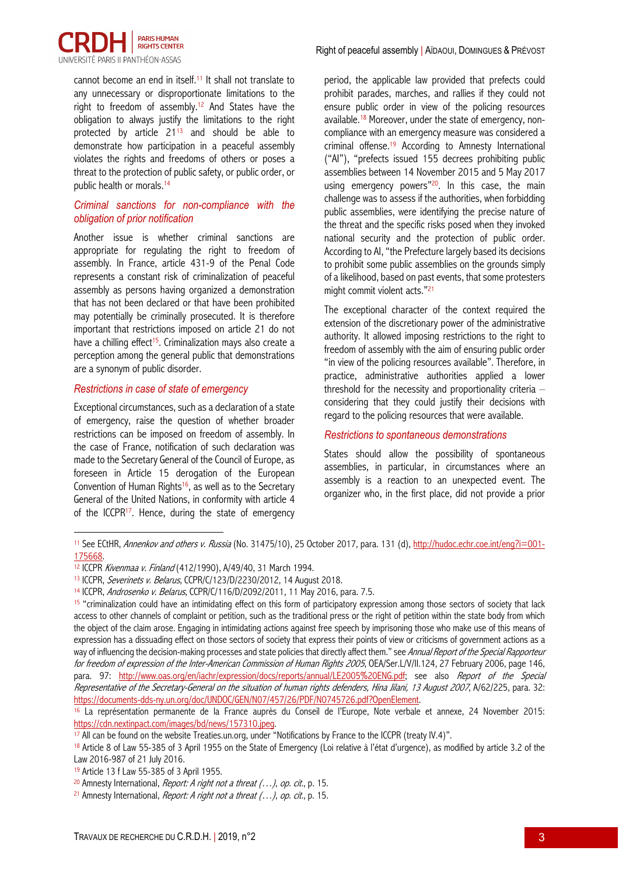

cannot become an end in itself.11 It shall not translate to any unnecessary or disproportionate limitations to the right to freedom of assembly.<sup>12</sup> And States have the obligation to always justify the limitations to the right protected by article 2113 and should be able to demonstrate how participation in a peaceful assembly violates the rights and freedoms of others or poses a threat to the protection of public safety, or public order, or public health or morals.14

## *Criminal sanctions for non-compliance with the obligation of prior notification*

Another issue is whether criminal sanctions are appropriate for regulating the right to freedom of assembly. In France, article 431-9 of the Penal Code represents a constant risk of criminalization of peaceful assembly as persons having organized a demonstration that has not been declared or that have been prohibited may potentially be criminally prosecuted. It is therefore important that restrictions imposed on article 21 do not have a chilling effect<sup>15</sup>. Criminalization mays also create a perception among the general public that demonstrations are a synonym of public disorder.

## *Restrictions in case of state of emergency*

 $\overline{a}$ 

Exceptional circumstances, such as a declaration of a state of emergency, raise the question of whether broader restrictions can be imposed on freedom of assembly. In the case of France, notification of such declaration was made to the Secretary General of the Council of Europe, as foreseen in Article 15 derogation of the European Convention of Human Rights<sup>16</sup>, as well as to the Secretary General of the United Nations, in conformity with article 4 of the ICCPR<sup>17</sup>. Hence, during the state of emergency period, the applicable law provided that prefects could prohibit parades, marches, and rallies if they could not ensure public order in view of the policing resources available.18 Moreover, under the state of emergency, noncompliance with an emergency measure was considered a criminal offense.19 According to Amnesty International ("AI"), "prefects issued 155 decrees prohibiting public assemblies between 14 November 2015 and 5 May 2017 using emergency powers"<sup>20</sup>. In this case, the main challenge was to assess if the authorities, when forbidding public assemblies, were identifying the precise nature of the threat and the specific risks posed when they invoked national security and the protection of public order. According to AI, "the Prefecture largely based its decisions to prohibit some public assemblies on the grounds simply of a likelihood, based on past events, that some protesters might commit violent acts."21

The exceptional character of the context required the extension of the discretionary power of the administrative authority. It allowed imposing restrictions to the right to freedom of assembly with the aim of ensuring public order "in view of the policing resources available". Therefore, in practice, administrative authorities applied a lower threshold for the necessity and proportionality criteria – considering that they could justify their decisions with regard to the policing resources that were available.

#### *Restrictions to spontaneous demonstrations*

States should allow the possibility of spontaneous assemblies, in particular, in circumstances where an assembly is a reaction to an unexpected event. The organizer who, in the first place, did not provide a prior

<sup>11</sup> See ECtHR, Annenkov and others v. Russia (No. 31475/10), 25 October 2017, para. 131 (d), http://hudoc.echr.coe.int/eng?i=001-175668.

<sup>12</sup> ICCPR Kivenmaa v. Finland (412/1990), A/49/40, 31 March 1994.

<sup>&</sup>lt;sup>13</sup> ICCPR, Severinets v. Belarus, CCPR/C/123/D/2230/2012, 14 August 2018.

<sup>14</sup> ICCPR, Androsenko v. Belarus, CCPR/C/116/D/2092/2011, 11 May 2016, para. 7.5.

<sup>&</sup>lt;sup>15</sup> "criminalization could have an intimidating effect on this form of participatory expression among those sectors of society that lack access to other channels of complaint or petition, such as the traditional press or the right of petition within the state body from which the object of the claim arose. Engaging in intimidating actions against free speech by imprisoning those who make use of this means of expression has a dissuading effect on those sectors of society that express their points of view or criticisms of government actions as a way of influencing the decision-making processes and state policies that directly affect them." see Annual Report of the Special Rapporteur for freedom of expression of the Inter-American Commission of Human Rights 2005, OEA/Ser.L/V/II.124, 27 February 2006, page 146, para. 97: http://www.oas.org/en/iachr/expression/docs/reports/annual/LE2005%20ENG.pdf; see also Report of the Special Representative of the Secretary-General on the situation of human rights defenders, Hina Jilani, 13 August 2007, A/62/225, para. 32: https://documents-dds-ny.un.org/doc/UNDOC/GEN/N07/457/26/PDF/N0745726.pdf?OpenElement.

<sup>16</sup> La représentation permanente de la France auprès du Conseil de l'Europe, Note verbale et annexe, 24 November 2015: https://cdn.nextinpact.com/images/bd/news/157310.jpeg.

<sup>&</sup>lt;sup>17</sup> All can be found on the website Treaties.un.org, under "Notifications by France to the ICCPR (treaty IV.4)".

<sup>18</sup> Article 8 of Law 55-385 of 3 April 1955 on the State of Emergency (Loi relative à l'état d'urgence), as modified by article 3.2 of the Law 2016-987 of 21 July 2016.

<sup>19</sup> Article 13 f Law 55-385 of 3 April 1955.

<sup>&</sup>lt;sup>20</sup> Amnesty International, *Report: A right not a threat*  $(...)$ *, op. cit.*, p. 15.

<sup>&</sup>lt;sup>21</sup> Amnesty International, *Report: A right not a threat*  $(...)$ *, op. cit.*, p. 15.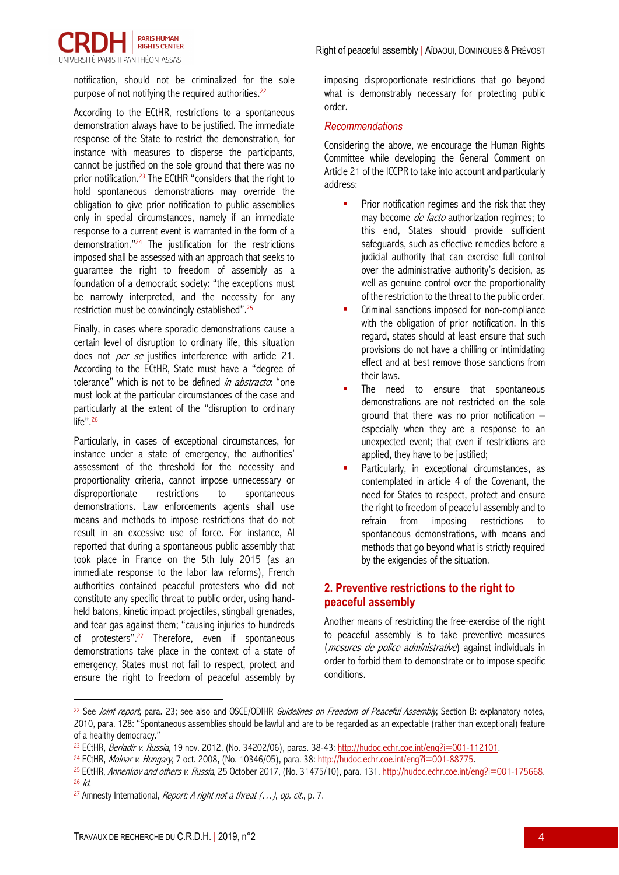

notification, should not be criminalized for the sole purpose of not notifying the required authorities.<sup>22</sup>

According to the ECtHR, restrictions to a spontaneous demonstration always have to be justified. The immediate response of the State to restrict the demonstration, for instance with measures to disperse the participants, cannot be justified on the sole ground that there was no prior notification. <sup>23</sup> The ECtHR "considers that the right to hold spontaneous demonstrations may override the obligation to give prior notification to public assemblies only in special circumstances, namely if an immediate response to a current event is warranted in the form of a demonstration."24 The justification for the restrictions imposed shall be assessed with an approach that seeks to guarantee the right to freedom of assembly as a foundation of a democratic society: "the exceptions must be narrowly interpreted, and the necessity for any restriction must be convincingly established".25

Finally, in cases where sporadic demonstrations cause a certain level of disruption to ordinary life, this situation does not *per se* justifies interference with article 21. According to the ECtHR, State must have a "degree of tolerance" which is not to be defined in abstracto. "one must look at the particular circumstances of the case and particularly at the extent of the "disruption to ordinary life".<sup>26</sup>

Particularly, in cases of exceptional circumstances, for instance under a state of emergency, the authorities' assessment of the threshold for the necessity and proportionality criteria, cannot impose unnecessary or disproportionate restrictions to spontaneous demonstrations. Law enforcements agents shall use means and methods to impose restrictions that do not result in an excessive use of force. For instance, AI reported that during a spontaneous public assembly that took place in France on the 5th July 2015 (as an immediate response to the labor law reforms), French authorities contained peaceful protesters who did not constitute any specific threat to public order, using handheld batons, kinetic impact projectiles, stingball grenades, and tear gas against them; "causing injuries to hundreds of protesters".27 Therefore, even if spontaneous demonstrations take place in the context of a state of emergency, States must not fail to respect, protect and ensure the right to freedom of peaceful assembly by imposing disproportionate restrictions that go beyond what is demonstrably necessary for protecting public order.

## *Recommendations*

Considering the above, we encourage the Human Rights Committee while developing the General Comment on Article 21 of the ICCPR to take into account and particularly address:

- Prior notification regimes and the risk that they may become *de facto* authorization regimes; to this end, States should provide sufficient safeguards, such as effective remedies before a judicial authority that can exercise full control over the administrative authority's decision, as well as genuine control over the proportionality of the restriction to the threat to the public order.
- § Criminal sanctions imposed for non-compliance with the obligation of prior notification. In this regard, states should at least ensure that such provisions do not have a chilling or intimidating effect and at best remove those sanctions from their laws.
- The need to ensure that spontaneous demonstrations are not restricted on the sole ground that there was no prior notification  $$ especially when they are a response to an unexpected event; that even if restrictions are applied, they have to be justified;
- Particularly, in exceptional circumstances, as contemplated in article 4 of the Covenant, the need for States to respect, protect and ensure the right to freedom of peaceful assembly and to refrain from imposing restrictions to spontaneous demonstrations, with means and methods that go beyond what is strictly required by the exigencies of the situation.

## **2. Preventive restrictions to the right to peaceful assembly**

Another means of restricting the free-exercise of the right to peaceful assembly is to take preventive measures (mesures de police administrative) against individuals in order to forbid them to demonstrate or to impose specific conditions.

 $\overline{a}$ 

<sup>&</sup>lt;sup>22</sup> See *Joint report*, para. 23; see also and OSCE/ODIHR *Guidelines on Freedom of Peaceful Assembly*. Section B: explanatory notes, 2010, para. 128: "Spontaneous assemblies should be lawful and are to be regarded as an expectable (rather than exceptional) feature of a healthy democracy."

<sup>&</sup>lt;sup>23</sup> ECtHR, Berladir v. Russia, 19 nov. 2012, (No. 34202/06), paras. 38-43: http://hudoc.echr.coe.int/eng?i=001-112101.

<sup>&</sup>lt;sup>24</sup> ECtHR, *Molnar v. Hungary*, 7 oct. 2008, (No. 10346/05), para. 38: <u>http://hudoc.echr.coe.int/eng?i=001-88775</u>.<br><sup>25</sup> ECtHR, *Annenkov and others v. Russia*, 25 October 2017, (No. 31475/10), para. 131. <u>http://hudoc.ec</u>

<sup>&</sup>lt;sup>27</sup> Amnesty International, *Report: A right not a threat*  $(...)$ *, op. cit.*, p. 7.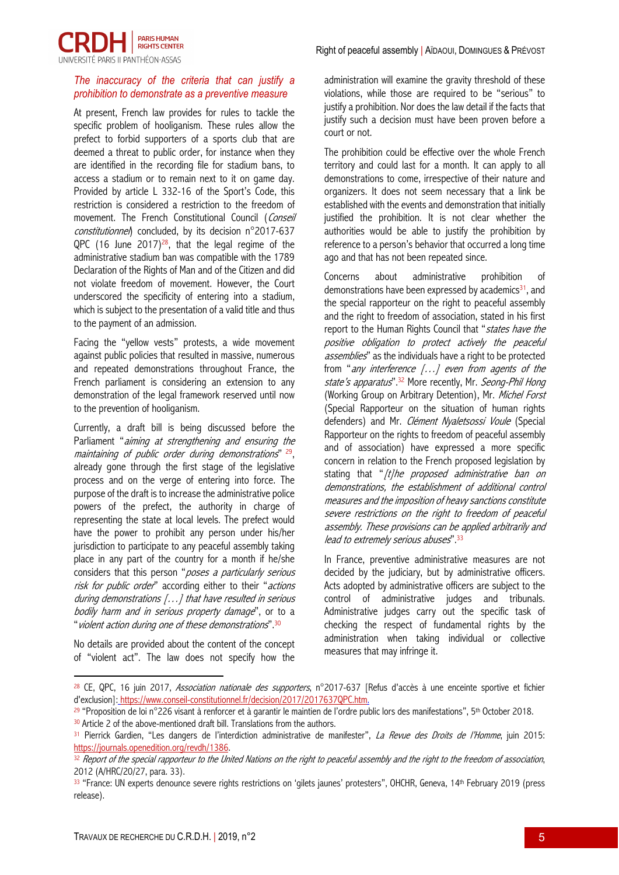

## *The inaccuracy of the criteria that can justify a prohibition to demonstrate as a preventive measure*

At present, French law provides for rules to tackle the specific problem of hooliganism. These rules allow the prefect to forbid supporters of a sports club that are deemed a threat to public order, for instance when they are identified in the recording file for stadium bans, to access a stadium or to remain next to it on game day. Provided by article L 332-16 of the Sport's Code, this restriction is considered a restriction to the freedom of movement. The French Constitutional Council (Conseil constitutionnel) concluded, by its decision n°2017-637 QPC (16 June 2017)<sup>28</sup>, that the legal regime of the administrative stadium ban was compatible with the 1789 Declaration of the Rights of Man and of the Citizen and did not violate freedom of movement. However, the Court underscored the specificity of entering into a stadium, which is subject to the presentation of a valid title and thus to the payment of an admission.

Facing the "yellow vests" protests, a wide movement against public policies that resulted in massive, numerous and repeated demonstrations throughout France, the French parliament is considering an extension to any demonstration of the legal framework reserved until now to the prevention of hooliganism.

Currently, a draft bill is being discussed before the Parliament "aiming at strengthening and ensuring the maintaining of public order during demonstrations"  $29$ , already gone through the first stage of the legislative process and on the verge of entering into force. The purpose of the draft is to increase the administrative police powers of the prefect, the authority in charge of representing the state at local levels. The prefect would have the power to prohibit any person under his/her jurisdiction to participate to any peaceful assembly taking place in any part of the country for a month if he/she considers that this person "poses a particularly serious risk for public order" according either to their "actions during demonstrations […] that have resulted in serious bodily harm and in serious property damage", or to a "violent action during one of these demonstrations".30

No details are provided about the content of the concept of "violent act". The law does not specify how the

 $\overline{a}$ 

administration will examine the gravity threshold of these violations, while those are required to be "serious" to justify a prohibition. Nor does the law detail if the facts that justify such a decision must have been proven before a court or not.

The prohibition could be effective over the whole French territory and could last for a month. It can apply to all demonstrations to come, irrespective of their nature and organizers. It does not seem necessary that a link be established with the events and demonstration that initially justified the prohibition. It is not clear whether the authorities would be able to justify the prohibition by reference to a person's behavior that occurred a long time ago and that has not been repeated since.

Concerns about administrative prohibition of demonstrations have been expressed by academics $31$ , and the special rapporteur on the right to peaceful assembly and the right to freedom of association, stated in his first report to the Human Rights Council that "states have the positive obligation to protect actively the peaceful assemblies" as the individuals have a right to be protected from "any interference  $[...]$  even from agents of the state's apparatus".<sup>32</sup> More recently, Mr. Seong-Phil Hong (Working Group on Arbitrary Detention), Mr. Michel Forst (Special Rapporteur on the situation of human rights defenders) and Mr. Clément Nyaletsossi Voule (Special Rapporteur on the rights to freedom of peaceful assembly and of association) have expressed a more specific concern in relation to the French proposed legislation by stating that "/t/he proposed administrative ban on demonstrations, the establishment of additional control measures and the imposition of heavy sanctions constitute severe restrictions on the right to freedom of peaceful assembly. These provisions can be applied arbitrarily and lead to extremely serious abuses".33

In France, preventive administrative measures are not decided by the judiciary, but by administrative officers. Acts adopted by administrative officers are subject to the control of administrative judges and tribunals. Administrative judges carry out the specific task of checking the respect of fundamental rights by the administration when taking individual or collective measures that may infringe it.

 $30$  Article 2 of the above-mentioned draft bill. Translations from the authors.

<sup>&</sup>lt;sup>28</sup> CE, QPC, 16 juin 2017, Association nationale des supporters, n°2017-637 [Refus d'accès à une enceinte sportive et fichier d'exclusion]: https://www.conseil-constitutionnel.fr/decision/2017/2017637QPC.htm.

<sup>29</sup> "Proposition de loi n°226 visant à renforcer et à garantir le maintien de l'ordre public lors des manifestations", 5th October 2018.

<sup>31</sup> Pierrick Gardien, "Les dangers de l'interdiction administrative de manifester", La Revue des Droits de l'Homme, juin 2015: https://journals.openedition.org/revdh/1386.

<sup>32</sup> Report of the special rapporteur to the United Nations on the right to peaceful assembly and the right to the freedom of association, 2012 (A/HRC/20/27, para. 33).

<sup>33 &</sup>quot;France: UN experts denounce severe rights restrictions on 'gilets jaunes' protesters", OHCHR, Geneva, 14th February 2019 (press release).